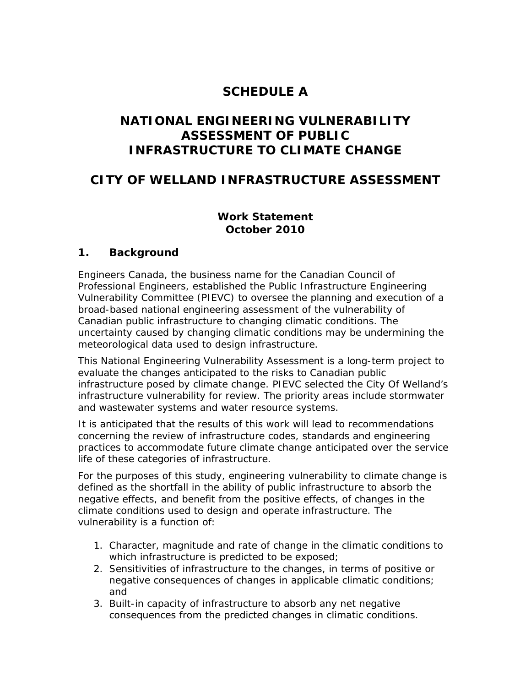# **SCHEDULE A**

## **NATIONAL ENGINEERING VULNERABILITY ASSESSMENT OF PUBLIC INFRASTRUCTURE TO CLIMATE CHANGE**

## **CITY OF WELLAND INFRASTRUCTURE ASSESSMENT**

#### **Work Statement October 2010**

#### **1. Background**

Engineers Canada, the business name for the Canadian Council of Professional Engineers, established the Public Infrastructure Engineering Vulnerability Committee (PIEVC) to oversee the planning and execution of a broad-based national engineering assessment of the vulnerability of Canadian public infrastructure to changing climatic conditions. The uncertainty caused by changing climatic conditions may be undermining the meteorological data used to design infrastructure.

This National Engineering Vulnerability Assessment is a long-term project to evaluate the changes anticipated to the risks to Canadian public infrastructure posed by climate change. PIEVC selected the City Of Welland's infrastructure vulnerability for review. The priority areas include stormwater and wastewater systems and water resource systems.

It is anticipated that the results of this work will lead to recommendations concerning the review of infrastructure codes, standards and engineering practices to accommodate future climate change anticipated over the service life of these categories of infrastructure.

For the purposes of this study, engineering vulnerability to climate change is defined as the shortfall in the ability of public infrastructure to absorb the negative effects, and benefit from the positive effects, of changes in the climate conditions used to design and operate infrastructure. The vulnerability is a function of:

- 1. Character, magnitude and rate of change in the climatic conditions to which infrastructure is predicted to be exposed;
- 2. Sensitivities of infrastructure to the changes, in terms of positive or negative consequences of changes in applicable climatic conditions; and
- 3. Built-in capacity of infrastructure to absorb any net negative consequences from the predicted changes in climatic conditions.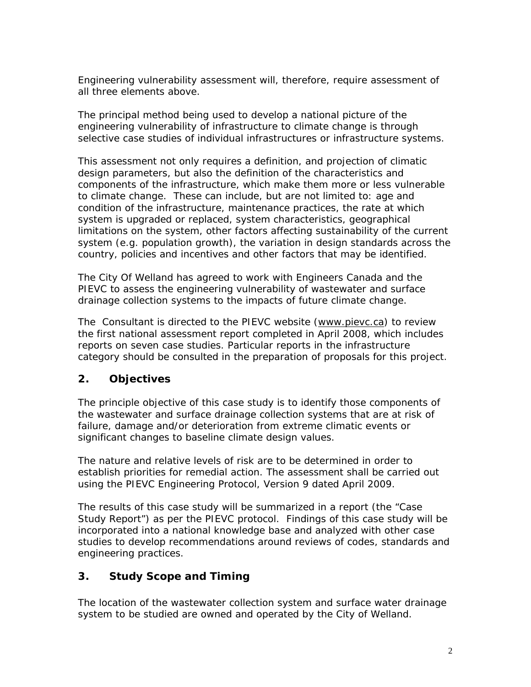Engineering vulnerability assessment will, therefore, require assessment of all three elements above.

The principal method being used to develop a national picture of the engineering vulnerability of infrastructure to climate change is through selective case studies of individual infrastructures or infrastructure systems.

This assessment not only requires a definition, and projection of climatic design parameters, but also the definition of the characteristics and components of the infrastructure, which make them more or less vulnerable to climate change. These can include, but are not limited to: age and condition of the infrastructure, maintenance practices, the rate at which system is upgraded or replaced, system characteristics, geographical limitations on the system, other factors affecting sustainability of the current system (e.g. population growth), the variation in design standards across the country, policies and incentives and other factors that may be identified.

 drainage collection systems to the impacts of future climate change. The City Of Welland has agreed to work with Engineers Canada and the PIEVC to assess the engineering vulnerability of wastewater and surface

The Consultant is directed to the PIEVC website (www.pievc.ca) to review the first national assessment report completed in April 2008, which includes reports on seven case studies. Particular reports in the infrastructure category should be consulted in the preparation of proposals for this project.

#### **2. Objectives**

The principle objective of this case study is to identify those components of the wastewater and surface drainage collection systems that are at risk of failure, damage and/or deterioration from extreme climatic events or significant changes to baseline climate design values.

The nature and relative levels of risk are to be determined in order to establish priorities for remedial action. The assessment shall be carried out using the PIEVC Engineering Protocol, Version 9 dated April 2009.

The results of this case study will be summarized in a report (the "Case Study Report") as per the PIEVC protocol. Findings of this case study will be incorporated into a national knowledge base and analyzed with other case studies to develop recommendations around reviews of codes, standards and engineering practices.

#### **3. Study Scope and Timing**

 system to be studied are owned and operated by the City of Welland. The location of the wastewater collection system and surface water drainage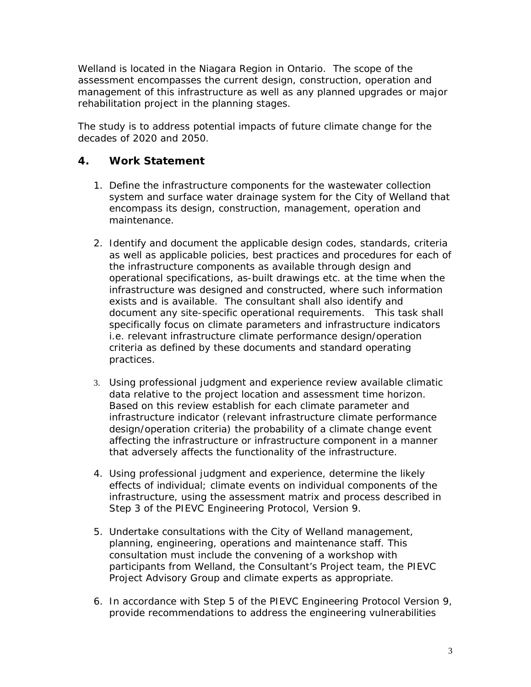Welland is located in the Niagara Region in Ontario. The scope of the assessment encompasses the current design, construction, operation and management of this infrastructure as well as any planned upgrades or major rehabilitation project in the planning stages.

The study is to address potential impacts of future climate change for the decades of 2020 and 2050.

#### **4. Work Statement**

- 1. Define the infrastructure components for the wastewater collection system and surface water drainage system for the City of Welland that encompass its design, construction, management, operation and maintenance.
- 2. Identify and document the applicable design codes, standards, criteria as well as applicable policies, best practices and procedures for each of the infrastructure components as available through design and operational specifications, as-built drawings etc. at the time when the infrastructure was designed and constructed, where such information exists and is available. The consultant shall also identify and document any site-specific operational requirements. This task shall specifically focus on climate parameters and infrastructure indicators i.e. relevant infrastructure climate performance design/operation criteria as defined by these documents and standard operating practices.
- 3. Using professional judgment and experience review available climatic data relative to the project location and assessment time horizon. Based on this review establish for each climate parameter and infrastructure indicator (relevant infrastructure climate performance design/operation criteria) the probability of a climate change event affecting the infrastructure or infrastructure component in a manner that adversely affects the functionality of the infrastructure.
- 4. Using professional judgment and experience, determine the likely effects of individual; climate events on individual components of the infrastructure, using the assessment matrix and process described in Step 3 of the PIEVC Engineering Protocol, Version 9.
- 5. Undertake consultations with the City of Welland management, planning, engineering, operations and maintenance staff. This consultation must include the convening of a workshop with participants from Welland, the Consultant's Project team, the PIEVC Project Advisory Group and climate experts as appropriate.
- 6. In accordance with Step 5 of the PIEVC Engineering Protocol Version 9, provide recommendations to address the engineering vulnerabilities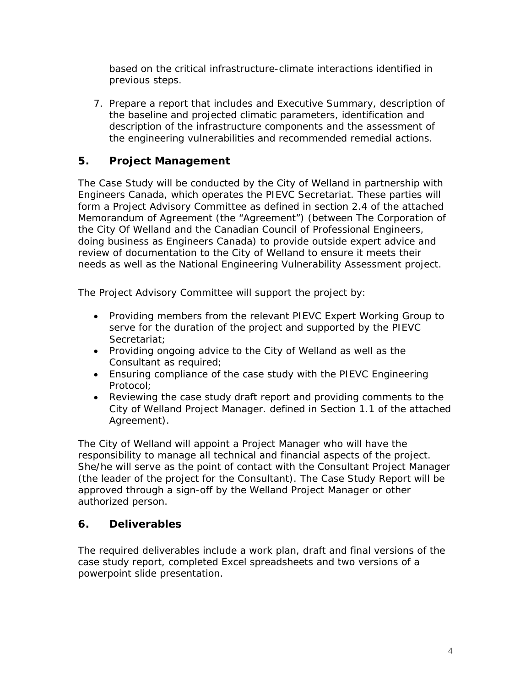based on the critical infrastructure-climate interactions identified in previous steps.

7. Prepare a report that includes and Executive Summary, description of the baseline and projected climatic parameters, identification and description of the infrastructure components and the assessment of the engineering vulnerabilities and recommended remedial actions.

#### **5. Project Management**

 review of documentation to the City of Welland to ensure it meets their The Case Study will be conducted by the City of Welland in partnership with Engineers Canada, which operates the PIEVC Secretariat. These parties will form a Project Advisory Committee as defined in section 2.4 of the attached Memorandum of Agreement (the "Agreement") (between The Corporation of the City Of Welland and the Canadian Council of Professional Engineers, doing business as Engineers Canada) to provide outside expert advice and needs as well as the National Engineering Vulnerability Assessment project.

The Project Advisory Committee will support the project by:

- Providing members from the relevant PIEVC Expert Working Group to serve for the duration of the project and supported by the PIEVC Secretariat;
- Providing ongoing advice to the City of Welland as well as the Consultant as required;
- Ensuring compliance of the case study with the PIEVC Engineering Protocol;
- Reviewing the case study draft report and providing comments to the City of Welland Project Manager. defined in Section 1.1 of the attached Agreement).

The City of Welland will appoint a Project Manager who will have the responsibility to manage all technical and financial aspects of the project. She/he will serve as the point of contact with the Consultant Project Manager (the leader of the project for the Consultant). The Case Study Report will be approved through a sign-off by the Welland Project Manager or other authorized person.

#### **6. Deliverables**

The required deliverables include a work plan, draft and final versions of the case study report, completed Excel spreadsheets and two versions of a powerpoint slide presentation.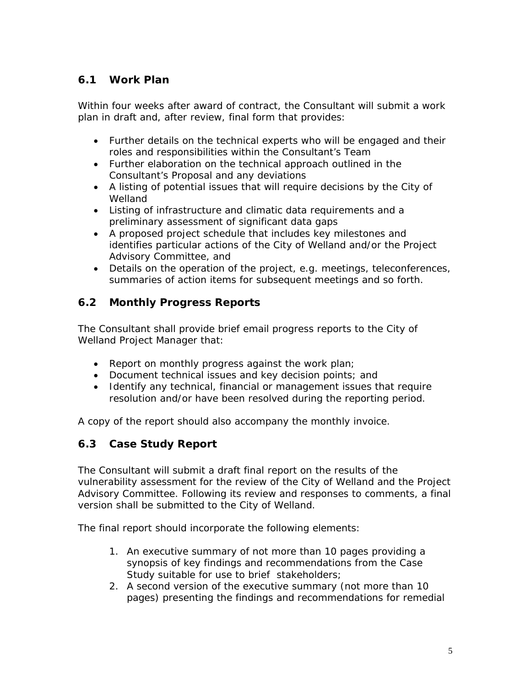#### **6.1 Work Plan**

Within four weeks after award of contract, the Consultant will submit a work plan in draft and, after review, final form that provides:

- Further details on the technical experts who will be engaged and their roles and responsibilities within the Consultant's Team
- Further elaboration on the technical approach outlined in the Consultant's Proposal and any deviations
- Welland • A listing of potential issues that will require decisions by the City of
- Listing of infrastructure and climatic data requirements and a preliminary assessment of significant data gaps
- A proposed project schedule that includes key milestones and identifies particular actions of the City of Welland and/or the Project Advisory Committee, and
- Details on the operation of the project, e.g. meetings, teleconferences, summaries of action items for subsequent meetings and so forth.

## **6.2 Monthly Progress Reports**

The Consultant shall provide brief email progress reports to the City of Welland Project Manager that:

- Report on monthly progress against the work plan;
- Document technical issues and key decision points; and
- Identify any technical, financial or management issues that require resolution and/or have been resolved during the reporting period.

A copy of the report should also accompany the monthly invoice.

## **6.3 Case Study Report**

 version shall be submitted to the City of Welland. The Consultant will submit a draft final report on the results of the vulnerability assessment for the review of the City of Welland and the Project Advisory Committee. Following its review and responses to comments, a final

The final report should incorporate the following elements:

- 1. An executive summary of not more than 10 pages providing a synopsis of key findings and recommendations from the Case Study suitable for use to brief stakeholders;
- 2. A second version of the executive summary (not more than 10 pages) presenting the findings and recommendations for remedial